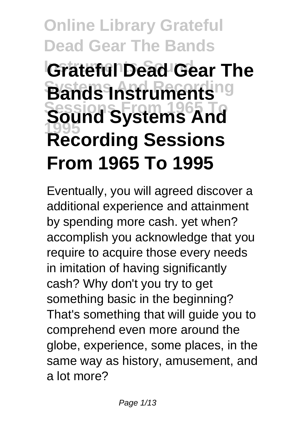# **Online Library Grateful Dead Gear The Bands Grateful Dead Gear The Bands Instruments Sessions From 1965 To Sound Systems And 1995 Recording Sessions From 1965 To 1995**

Eventually, you will agreed discover a additional experience and attainment by spending more cash. yet when? accomplish you acknowledge that you require to acquire those every needs in imitation of having significantly cash? Why don't you try to get something basic in the beginning? That's something that will guide you to comprehend even more around the globe, experience, some places, in the same way as history, amusement, and a lot more?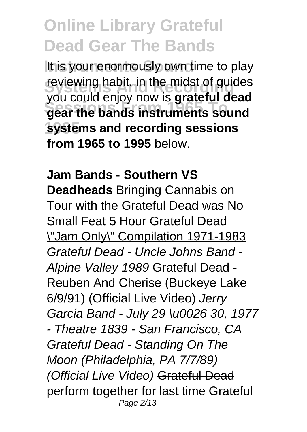It is your enormously own time to play reviewing habit. in the midst of guides **Sessions From 1965 To gear the bands instruments sound 1995 systems and recording sessions** you could enjoy now is **grateful dead from 1965 to 1995** below.

**Jam Bands - Southern VS Deadheads** Bringing Cannabis on Tour with the Grateful Dead was No Small Feat 5 Hour Grateful Dead \"Jam Only\" Compilation 1971-1983 Grateful Dead - Uncle Johns Band - Alpine Valley 1989 Grateful Dead - Reuben And Cherise (Buckeye Lake 6/9/91) (Official Live Video) Jerry Garcia Band - July 29 \u0026 30, 1977 - Theatre 1839 - San Francisco, CA Grateful Dead - Standing On The Moon (Philadelphia, PA 7/7/89) (Official Live Video) Grateful Dead perform together for last time Grateful Page 2/13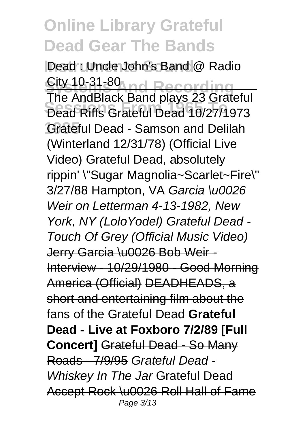Dead : Uncle John's Band<sup>1</sup> @ Radio **Sity 10-31-80 nd Recording Sessions From 1965 To** Dead Riffs Grateful Dead 10/27/1973 Grateful Dead - Samson and Delilah City 10-31-80 The AndBlack Band plays 23 Grateful (Winterland 12/31/78) (Official Live Video) Grateful Dead, absolutely rippin' \"Sugar Magnolia~Scarlet~Fire\" 3/27/88 Hampton, VA Garcia \u0026 Weir on Letterman 4-13-1982, New York, NY (LoloYodel) Grateful Dead - Touch Of Grey (Official Music Video) Jerry Garcia \u0026 Bob Weir - Interview - 10/29/1980 - Good Morning America (Official) DEADHEADS, a short and entertaining film about the fans of the Grateful Dead **Grateful Dead - Live at Foxboro 7/2/89 [Full Concert]** Grateful Dead - So Many Roads - 7/9/95 Grateful Dead - Whiskey In The Jar Grateful Dead Accept Rock \u0026 Roll Hall of Fame Page 3/13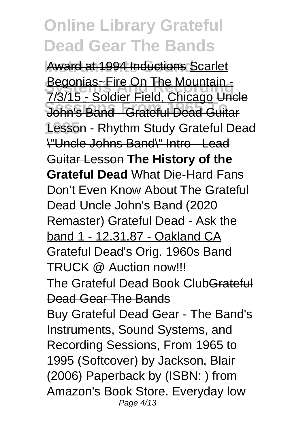Award at 1994 Inductions Scarlet **Begonias~Fire On The Mountain -**<br>Begonias~Seldies Field, Chicago Uni **Sessions From 1965 To** John's Band - Grateful Dead Guitar **1995** Lesson - Rhythm Study Grateful Dead 7/3/15 - Soldier Field, Chicago Uncle \"Uncle Johns Band\" Intro - Lead Guitar Lesson **The History of the Grateful Dead** What Die-Hard Fans Don't Even Know About The Grateful Dead Uncle John's Band (2020 Remaster) Grateful Dead - Ask the band 1 - 12.31.87 - Oakland CA Grateful Dead's Orig. 1960s Band TRUCK @ Auction now!!! The Grateful Dead Book ClubGrateful Dead Gear The Bands

Buy Grateful Dead Gear - The Band's Instruments, Sound Systems, and Recording Sessions, From 1965 to 1995 (Softcover) by Jackson, Blair (2006) Paperback by (ISBN: ) from Amazon's Book Store. Everyday low Page 4/13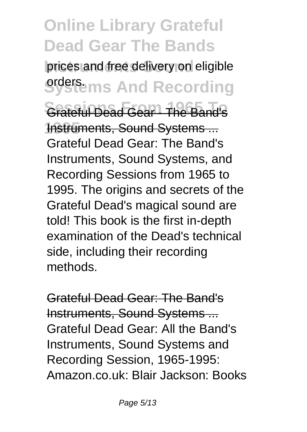prices and free delivery on eligible **Systems And Recording Sessions From 1965 To** Grateful Dead Gear - The Band's **1nstruments, Sound Systems...** Grateful Dead Gear: The Band's Instruments, Sound Systems, and Recording Sessions from 1965 to 1995. The origins and secrets of the Grateful Dead's magical sound are told! This book is the first in-depth examination of the Dead's technical side, including their recording methods.

Grateful Dead Gear: The Band's Instruments, Sound Systems ... Grateful Dead Gear: All the Band's Instruments, Sound Systems and Recording Session, 1965-1995: Amazon.co.uk: Blair Jackson: Books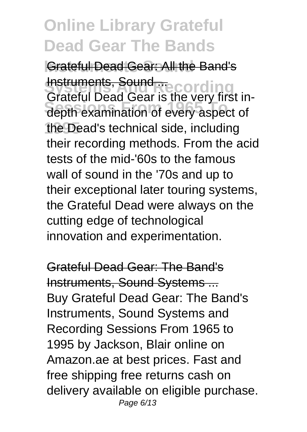**Grateful Dead Gear: All the Band's** <del>mstruments, Sound ...</del><br>Grateful Dead Gear is the very first in-**Sessions From 1965 To** depth examination of every aspect of **1995** the Dead's technical side, including Instruments, Sound their recording methods. From the acid tests of the mid-'60s to the famous wall of sound in the '70s and up to their exceptional later touring systems, the Grateful Dead were always on the cutting edge of technological innovation and experimentation.

Grateful Dead Gear: The Band's Instruments, Sound Systems ... Buy Grateful Dead Gear: The Band's Instruments, Sound Systems and Recording Sessions From 1965 to 1995 by Jackson, Blair online on Amazon.ae at best prices. Fast and free shipping free returns cash on delivery available on eligible purchase. Page 6/13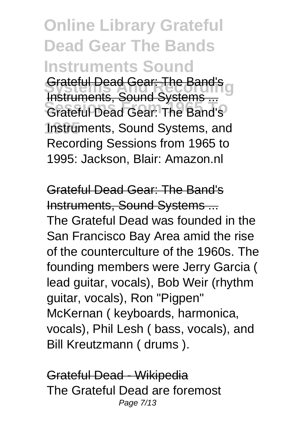**Online Library Grateful Dead Gear The Bands Instruments Sound Srateful Dead Gear: The Band's Sessions From 1965 To** Grateful Dead Gear: The Band's 1nstruments, Sound Systems, and Instruments, Sound Systems ... Recording Sessions from 1965 to 1995: Jackson, Blair: Amazon.nl

Grateful Dead Gear: The Band's Instruments, Sound Systems ... The Grateful Dead was founded in the San Francisco Bay Area amid the rise of the counterculture of the 1960s. The founding members were Jerry Garcia ( lead guitar, vocals), Bob Weir (rhythm guitar, vocals), Ron "Pigpen" McKernan ( keyboards, harmonica, vocals), Phil Lesh ( bass, vocals), and Bill Kreutzmann ( drums ).

Grateful Dead - Wikipedia The Grateful Dead are foremost Page 7/13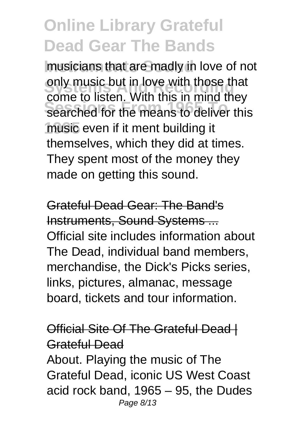musicians that are madly in love of not only music but in love with those that<br>once to listen Mith this is mind thou **Sessions From 1965 To** searched for the means to deliver this **1995** music even if it ment building it come to listen. With this in mind they themselves, which they did at times. They spent most of the money they made on getting this sound.

Grateful Dead Gear: The Band's Instruments, Sound Systems ... Official site includes information about The Dead, individual band members, merchandise, the Dick's Picks series, links, pictures, almanac, message board, tickets and tour information.

#### Official Site Of The Grateful Dead | Grateful Dead

About. Playing the music of The Grateful Dead, iconic US West Coast acid rock band, 1965 – 95, the Dudes Page 8/13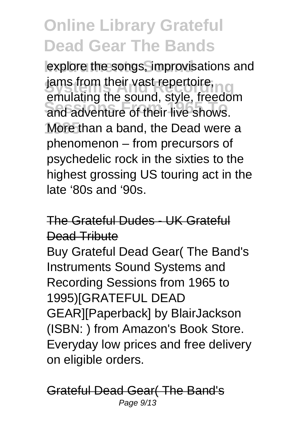explore the songs, improvisations and jams from their vast repertoire, **Sessions From 1965 To** and adventure of their live shows. More than a band, the Dead were a emulating the sound, style, freedom phenomenon – from precursors of psychedelic rock in the sixties to the highest grossing US touring act in the late '80s and '90s.

The Grateful Dudes - UK Grateful Dead Tribute Buy Grateful Dead Gear( The Band's Instruments Sound Systems and Recording Sessions from 1965 to 1995)[GRATEFUL DEAD GEAR][Paperback] by BlairJackson (ISBN: ) from Amazon's Book Store. Everyday low prices and free delivery on eligible orders.

Grateful Dead Gear( The Band's Page 9/13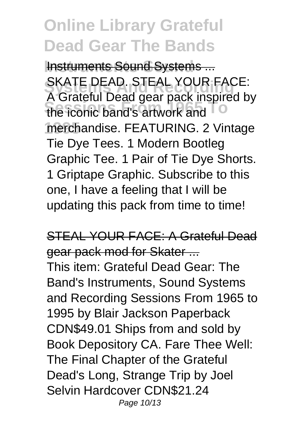**Instruments Sound Systems...** SKATE DEAD. STEAL YOUR FACE:<br>A Grateful Dead gear pack inspired by **Sessions From 1965 To** the iconic band's artwork and **1995** merchandise. FEATURING. 2 Vintage SKATE DEAD. STEAL YOUR FACE: Tie Dye Tees. 1 Modern Bootleg Graphic Tee. 1 Pair of Tie Dye Shorts. 1 Griptape Graphic. Subscribe to this one, I have a feeling that I will be updating this pack from time to time!

STEAL YOUR FACE: A Grateful Dead gear pack mod for Skater ... This item: Grateful Dead Gear: The Band's Instruments, Sound Systems and Recording Sessions From 1965 to 1995 by Blair Jackson Paperback CDN\$49.01 Ships from and sold by Book Depository CA. Fare Thee Well: The Final Chapter of the Grateful Dead's Long, Strange Trip by Joel Selvin Hardcover CDN\$21.24 Page 10/13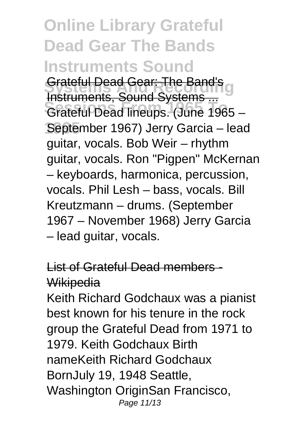**Online Library Grateful Dead Gear The Bands Instruments Sound Srateful Dead Gear: The Band's Sessions From 1965 To** Grateful Dead lineups. (June 1965 – **1995** September 1967) Jerry Garcia – lead Instruments, Sound Systems ... guitar, vocals. Bob Weir – rhythm guitar, vocals. Ron "Pigpen" McKernan – keyboards, harmonica, percussion, vocals. Phil Lesh – bass, vocals. Bill Kreutzmann – drums. (September 1967 – November 1968) Jerry Garcia – lead guitar, vocals.

List of Grateful Dead members - **Wikipedia** 

Keith Richard Godchaux was a pianist best known for his tenure in the rock group the Grateful Dead from 1971 to 1979. Keith Godchaux Birth nameKeith Richard Godchaux BornJuly 19, 1948 Seattle, Washington OriginSan Francisco, Page 11/13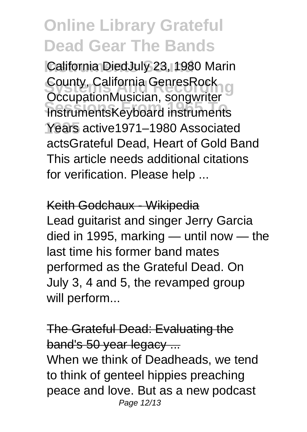California DiedJuly 23, 1980 Marin **County, California GenresRock**<br>OccupationMusician, songwriter **Sessions From 1965 To** InstrumentsKeyboard instruments **1995** Years active1971–1980 Associated County, California GenresRock actsGrateful Dead, Heart of Gold Band This article needs additional citations for verification. Please help ...

Keith Godchaux - Wikipedia Lead guitarist and singer Jerry Garcia died in 1995, marking — until now — the last time his former band mates performed as the Grateful Dead. On July 3, 4 and 5, the revamped group will perform...

The Grateful Dead: Evaluating the band's 50 year legacy ... When we think of Deadheads, we tend to think of genteel hippies preaching peace and love. But as a new podcast Page 12/13